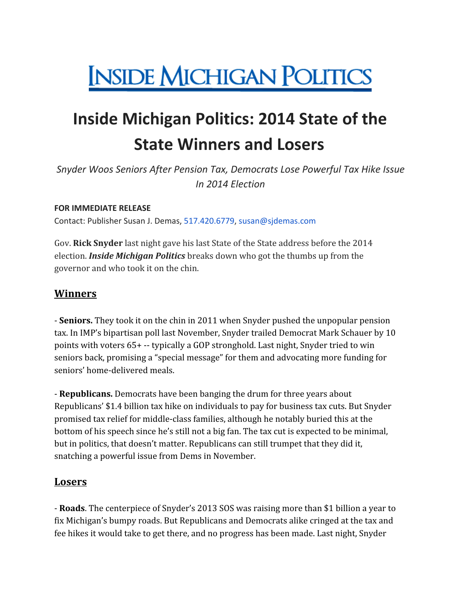# **INSIDE MICHIGAN POLITICS**

## **Inside Michigan Politics: 2014 State of the State Winners and Losers**

*Snyder Woos Seniors After Pension Tax, Democrats Lose Powerful Tax Hike Issue In 2014 Election*

#### **FOR IMMEDIATE RELEASE**

Contact: Publisher Susan J. Demas, 517.420.6779, susan@sjdemas.com

Gov. **Rick Snyder** last night gave his last State of the State address before the 2014 election. *Inside Michigan Politics* breaks down who got the thumbs up from the governor and who took it on the chin.

#### **Winners**

- **Seniors.** They took it on the chin in 2011 when Snyder pushed the unpopular pension tax. In IMP's bipartisan poll last November, Snyder trailed Democrat Mark Schauer by 10 points with voters 65+ -- typically a GOP stronghold. Last night, Snyder tried to win seniors back, promising a "special message" for them and advocating more funding for seniors' home-delivered meals.

- **Republicans.** Democrats have been banging the drum for three years about Republicans' \$1.4 billion tax hike on individuals to pay for business tax cuts. But Snyder promised tax relief for middle-class families, although he notably buried this at the bottom of his speech since he's still not a big fan. The tax cut is expected to be minimal, but in politics, that doesn't matter. Republicans can still trumpet that they did it, snatching a powerful issue from Dems in November.

#### **Losers**

- **Roads**. The centerpiece of Snyder's 2013 SOS was raising more than \$1 billion a year to fix Michigan's bumpy roads. But Republicans and Democrats alike cringed at the tax and fee hikes it would take to get there, and no progress has been made. Last night, Snyder